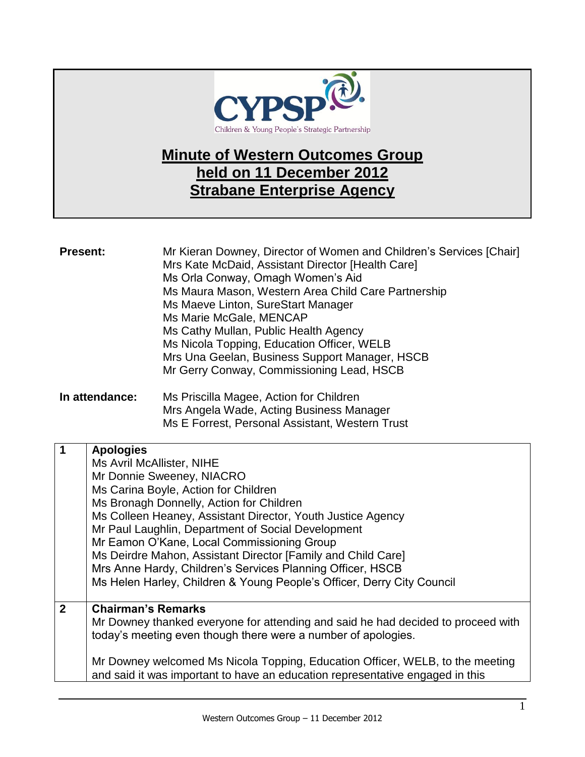

## **Minute of Western Outcomes Group held on 11 December 2012 Strabane Enterprise Agency**

| <b>Present:</b> | Mr Kieran Downey, Director of Women and Children's Services [Chair]<br>Mrs Kate McDaid, Assistant Director [Health Care]<br>Ms Orla Conway, Omagh Women's Aid<br>Ms Maura Mason, Western Area Child Care Partnership<br>Ms Maeve Linton, SureStart Manager<br>Ms Marie McGale, MENCAP<br>Ms Cathy Mullan, Public Health Agency<br>Ms Nicola Topping, Education Officer, WELB<br>Mrs Una Geelan, Business Support Manager, HSCB<br>Mr Gerry Conway, Commissioning Lead, HSCB |
|-----------------|-----------------------------------------------------------------------------------------------------------------------------------------------------------------------------------------------------------------------------------------------------------------------------------------------------------------------------------------------------------------------------------------------------------------------------------------------------------------------------|
|                 |                                                                                                                                                                                                                                                                                                                                                                                                                                                                             |

**In attendance:** Ms Priscilla Magee, Action for Children Mrs Angela Wade, Acting Business Manager Ms E Forrest, Personal Assistant, Western Trust

| $\overline{1}$ | <b>Apologies</b>                                                                 |
|----------------|----------------------------------------------------------------------------------|
|                | Ms Avril McAllister, NIHE                                                        |
|                | Mr Donnie Sweeney, NIACRO                                                        |
|                | Ms Carina Boyle, Action for Children                                             |
|                | Ms Bronagh Donnelly, Action for Children                                         |
|                | Ms Colleen Heaney, Assistant Director, Youth Justice Agency                      |
|                | Mr Paul Laughlin, Department of Social Development                               |
|                | Mr Eamon O'Kane, Local Commissioning Group                                       |
|                | Ms Deirdre Mahon, Assistant Director [Family and Child Care]                     |
|                | Mrs Anne Hardy, Children's Services Planning Officer, HSCB                       |
|                | Ms Helen Harley, Children & Young People's Officer, Derry City Council           |
|                |                                                                                  |
| $\overline{2}$ | <b>Chairman's Remarks</b>                                                        |
|                | Mr Downey thanked everyone for attending and said he had decided to proceed with |
|                | today's meeting even though there were a number of apologies.                    |
|                |                                                                                  |
|                | Mr Downey welcomed Ms Nicola Topping, Education Officer, WELB, to the meeting    |
|                | and said it was important to have an education representative engaged in this    |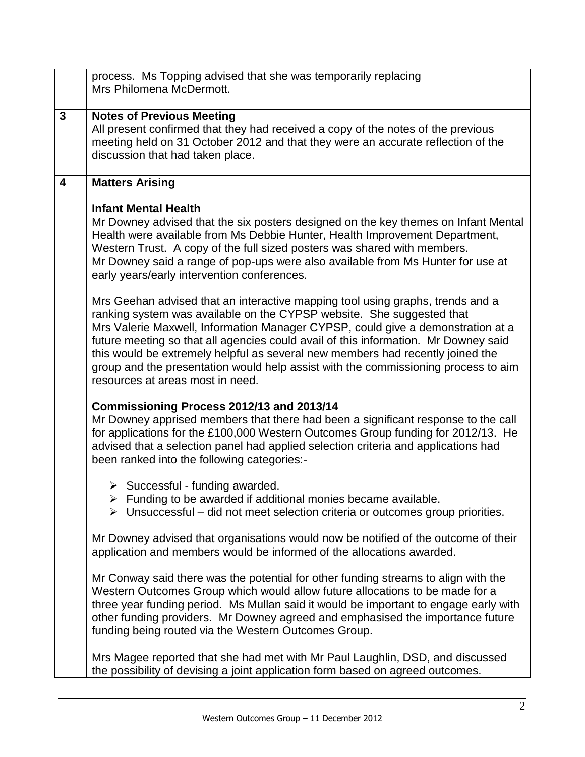|              | process. Ms Topping advised that she was temporarily replacing<br>Mrs Philomena McDermott.                                                                                                                                                                                                                                                                                                                                                                                                                                                    |
|--------------|-----------------------------------------------------------------------------------------------------------------------------------------------------------------------------------------------------------------------------------------------------------------------------------------------------------------------------------------------------------------------------------------------------------------------------------------------------------------------------------------------------------------------------------------------|
| $\mathbf{3}$ | <b>Notes of Previous Meeting</b><br>All present confirmed that they had received a copy of the notes of the previous<br>meeting held on 31 October 2012 and that they were an accurate reflection of the<br>discussion that had taken place.                                                                                                                                                                                                                                                                                                  |
| 4            | <b>Matters Arising</b>                                                                                                                                                                                                                                                                                                                                                                                                                                                                                                                        |
|              | <b>Infant Mental Health</b><br>Mr Downey advised that the six posters designed on the key themes on Infant Mental<br>Health were available from Ms Debbie Hunter, Health Improvement Department,<br>Western Trust. A copy of the full sized posters was shared with members.<br>Mr Downey said a range of pop-ups were also available from Ms Hunter for use at<br>early years/early intervention conferences.                                                                                                                                |
|              | Mrs Geehan advised that an interactive mapping tool using graphs, trends and a<br>ranking system was available on the CYPSP website. She suggested that<br>Mrs Valerie Maxwell, Information Manager CYPSP, could give a demonstration at a<br>future meeting so that all agencies could avail of this information. Mr Downey said<br>this would be extremely helpful as several new members had recently joined the<br>group and the presentation would help assist with the commissioning process to aim<br>resources at areas most in need. |
|              | Commissioning Process 2012/13 and 2013/14<br>Mr Downey apprised members that there had been a significant response to the call<br>for applications for the £100,000 Western Outcomes Group funding for 2012/13. He<br>advised that a selection panel had applied selection criteria and applications had<br>been ranked into the following categories:-                                                                                                                                                                                       |
|              | $\triangleright$ Successful - funding awarded.<br>> Funding to be awarded if additional monies became available.<br>$\triangleright$ Unsuccessful – did not meet selection criteria or outcomes group priorities.                                                                                                                                                                                                                                                                                                                             |
|              | Mr Downey advised that organisations would now be notified of the outcome of their<br>application and members would be informed of the allocations awarded.                                                                                                                                                                                                                                                                                                                                                                                   |
|              | Mr Conway said there was the potential for other funding streams to align with the<br>Western Outcomes Group which would allow future allocations to be made for a<br>three year funding period. Ms Mullan said it would be important to engage early with<br>other funding providers. Mr Downey agreed and emphasised the importance future<br>funding being routed via the Western Outcomes Group.                                                                                                                                          |
|              | Mrs Magee reported that she had met with Mr Paul Laughlin, DSD, and discussed<br>the possibility of devising a joint application form based on agreed outcomes.                                                                                                                                                                                                                                                                                                                                                                               |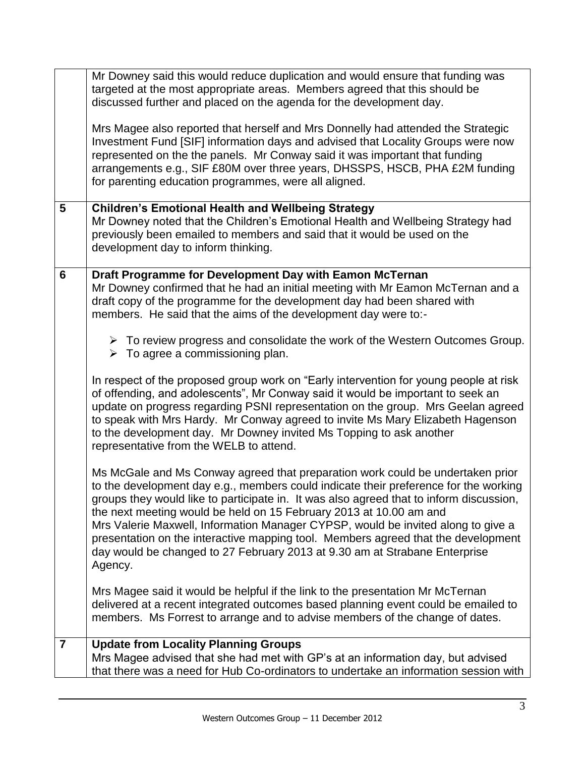|                | Mr Downey said this would reduce duplication and would ensure that funding was<br>targeted at the most appropriate areas. Members agreed that this should be<br>discussed further and placed on the agenda for the development day.<br>Mrs Magee also reported that herself and Mrs Donnelly had attended the Strategic<br>Investment Fund [SIF] information days and advised that Locality Groups were now<br>represented on the the panels. Mr Conway said it was important that funding<br>arrangements e.g., SIF £80M over three years, DHSSPS, HSCB, PHA £2M funding<br>for parenting education programmes, were all aligned. |
|----------------|------------------------------------------------------------------------------------------------------------------------------------------------------------------------------------------------------------------------------------------------------------------------------------------------------------------------------------------------------------------------------------------------------------------------------------------------------------------------------------------------------------------------------------------------------------------------------------------------------------------------------------|
| $5\phantom{.}$ | <b>Children's Emotional Health and Wellbeing Strategy</b><br>Mr Downey noted that the Children's Emotional Health and Wellbeing Strategy had<br>previously been emailed to members and said that it would be used on the<br>development day to inform thinking.                                                                                                                                                                                                                                                                                                                                                                    |
| 6              | Draft Programme for Development Day with Eamon McTernan<br>Mr Downey confirmed that he had an initial meeting with Mr Eamon McTernan and a<br>draft copy of the programme for the development day had been shared with<br>members. He said that the aims of the development day were to:-                                                                                                                                                                                                                                                                                                                                          |
|                | $\triangleright$ To review progress and consolidate the work of the Western Outcomes Group.<br>$\triangleright$ To agree a commissioning plan.                                                                                                                                                                                                                                                                                                                                                                                                                                                                                     |
|                | In respect of the proposed group work on "Early intervention for young people at risk<br>of offending, and adolescents", Mr Conway said it would be important to seek an<br>update on progress regarding PSNI representation on the group. Mrs Geelan agreed<br>to speak with Mrs Hardy. Mr Conway agreed to invite Ms Mary Elizabeth Hagenson<br>to the development day. Mr Downey invited Ms Topping to ask another<br>representative from the WELB to attend.                                                                                                                                                                   |
|                | Ms McGale and Ms Conway agreed that preparation work could be undertaken prior<br>to the development day e.g., members could indicate their preference for the working<br>groups they would like to participate in. It was also agreed that to inform discussion,<br>the next meeting would be held on 15 February 2013 at 10.00 am and<br>Mrs Valerie Maxwell, Information Manager CYPSP, would be invited along to give a<br>presentation on the interactive mapping tool. Members agreed that the development<br>day would be changed to 27 February 2013 at 9.30 am at Strabane Enterprise<br>Agency.                          |
|                | Mrs Magee said it would be helpful if the link to the presentation Mr McTernan<br>delivered at a recent integrated outcomes based planning event could be emailed to<br>members. Ms Forrest to arrange and to advise members of the change of dates.                                                                                                                                                                                                                                                                                                                                                                               |
| $\overline{7}$ | <b>Update from Locality Planning Groups</b><br>Mrs Magee advised that she had met with GP's at an information day, but advised<br>that there was a need for Hub Co-ordinators to undertake an information session with                                                                                                                                                                                                                                                                                                                                                                                                             |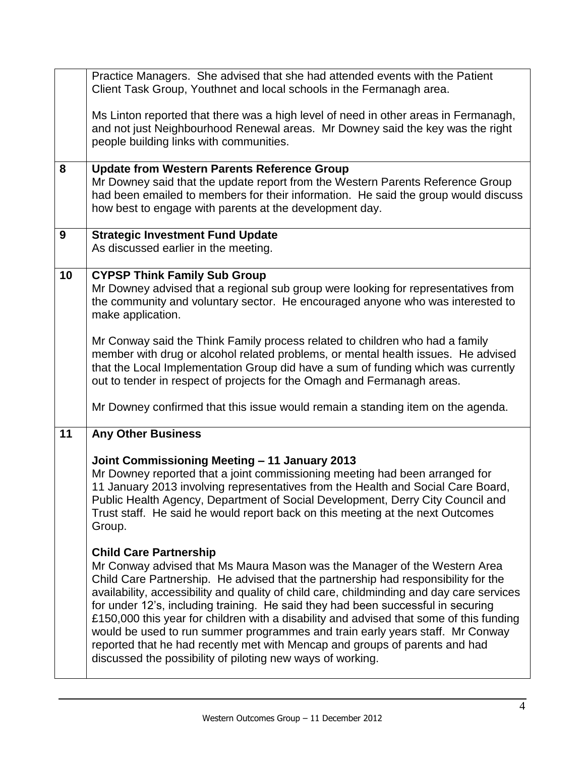|                  | Practice Managers. She advised that she had attended events with the Patient<br>Client Task Group, Youthnet and local schools in the Fermanagh area.                                                                                                                                                                                                                                                                                                                                                                                                                                                                                                                                                       |
|------------------|------------------------------------------------------------------------------------------------------------------------------------------------------------------------------------------------------------------------------------------------------------------------------------------------------------------------------------------------------------------------------------------------------------------------------------------------------------------------------------------------------------------------------------------------------------------------------------------------------------------------------------------------------------------------------------------------------------|
|                  | Ms Linton reported that there was a high level of need in other areas in Fermanagh,<br>and not just Neighbourhood Renewal areas. Mr Downey said the key was the right<br>people building links with communities.                                                                                                                                                                                                                                                                                                                                                                                                                                                                                           |
| 8                | <b>Update from Western Parents Reference Group</b><br>Mr Downey said that the update report from the Western Parents Reference Group<br>had been emailed to members for their information. He said the group would discuss<br>how best to engage with parents at the development day.                                                                                                                                                                                                                                                                                                                                                                                                                      |
| $\boldsymbol{9}$ | <b>Strategic Investment Fund Update</b><br>As discussed earlier in the meeting.                                                                                                                                                                                                                                                                                                                                                                                                                                                                                                                                                                                                                            |
| 10               | <b>CYPSP Think Family Sub Group</b><br>Mr Downey advised that a regional sub group were looking for representatives from<br>the community and voluntary sector. He encouraged anyone who was interested to<br>make application.                                                                                                                                                                                                                                                                                                                                                                                                                                                                            |
|                  | Mr Conway said the Think Family process related to children who had a family<br>member with drug or alcohol related problems, or mental health issues. He advised<br>that the Local Implementation Group did have a sum of funding which was currently<br>out to tender in respect of projects for the Omagh and Fermanagh areas.                                                                                                                                                                                                                                                                                                                                                                          |
|                  | Mr Downey confirmed that this issue would remain a standing item on the agenda.                                                                                                                                                                                                                                                                                                                                                                                                                                                                                                                                                                                                                            |
| 11               | <b>Any Other Business</b>                                                                                                                                                                                                                                                                                                                                                                                                                                                                                                                                                                                                                                                                                  |
|                  | Joint Commissioning Meeting - 11 January 2013<br>Mr Downey reported that a joint commissioning meeting had been arranged for<br>11 January 2013 involving representatives from the Health and Social Care Board,<br>Public Health Agency, Department of Social Development, Derry City Council and<br>Trust staff. He said he would report back on this meeting at the next Outcomes<br>Group.                                                                                                                                                                                                                                                                                                             |
|                  | <b>Child Care Partnership</b><br>Mr Conway advised that Ms Maura Mason was the Manager of the Western Area<br>Child Care Partnership. He advised that the partnership had responsibility for the<br>availability, accessibility and quality of child care, childminding and day care services<br>for under 12's, including training. He said they had been successful in securing<br>£150,000 this year for children with a disability and advised that some of this funding<br>would be used to run summer programmes and train early years staff. Mr Conway<br>reported that he had recently met with Mencap and groups of parents and had<br>discussed the possibility of piloting new ways of working. |